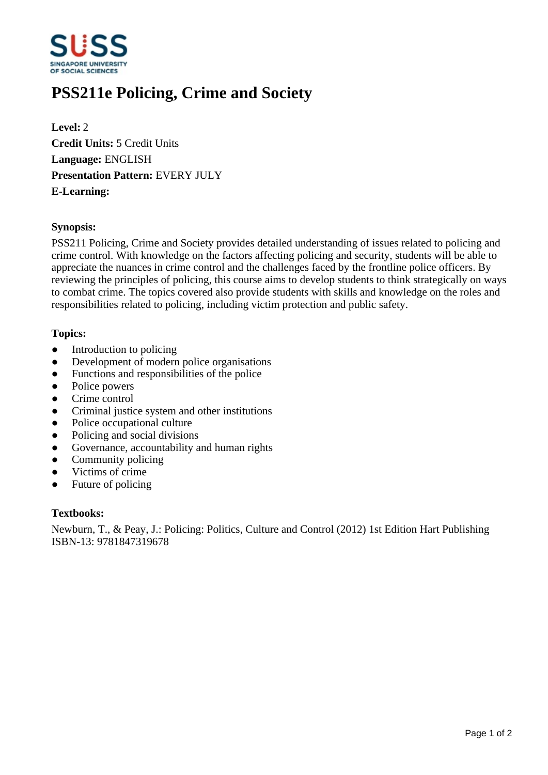

# **PSS211e Policing, Crime and Society**

**Level:** 2 **Credit Units:** 5 Credit Units **Language:** ENGLISH **Presentation Pattern:** EVERY JULY **E-Learning:** 

#### **Synopsis:**

PSS211 Policing, Crime and Society provides detailed understanding of issues related to policing and crime control. With knowledge on the factors affecting policing and security, students will be able to appreciate the nuances in crime control and the challenges faced by the frontline police officers. By reviewing the principles of policing, this course aims to develop students to think strategically on ways to combat crime. The topics covered also provide students with skills and knowledge on the roles and responsibilities related to policing, including victim protection and public safety.

#### **Topics:**

- $\bullet$  Introduction to policing
- Development of modern police organisations
- Functions and responsibilities of the police
- Police powers
- Crime control
- Criminal justice system and other institutions
- Police occupational culture
- Policing and social divisions
- Governance, accountability and human rights
- Community policing
- Victims of crime
- Future of policing

#### **Textbooks:**

Newburn, T., & Peay, J.: Policing: Politics, Culture and Control (2012) 1st Edition Hart Publishing ISBN-13: 9781847319678